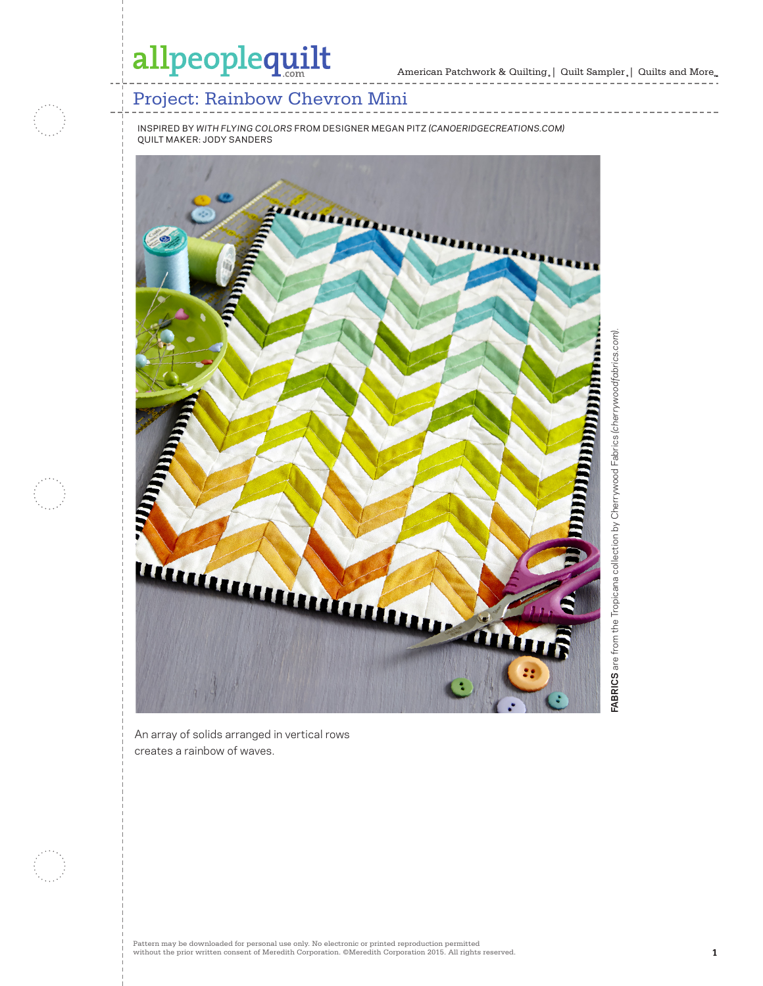## allpeoplequilt

\_\_\_\_\_\_\_\_\_\_\_\_\_\_



### Project: Rainbow Chevron Mini

INSPIRED BY *WITH FLYING COLORS* FROM DESIGNER MEGAN PITZ *(CANOERIDGECREATIONS.COM)* QUILT MAKER: JODY SANDERS



An array of solids arranged in vertical rows creates a rainbow of waves.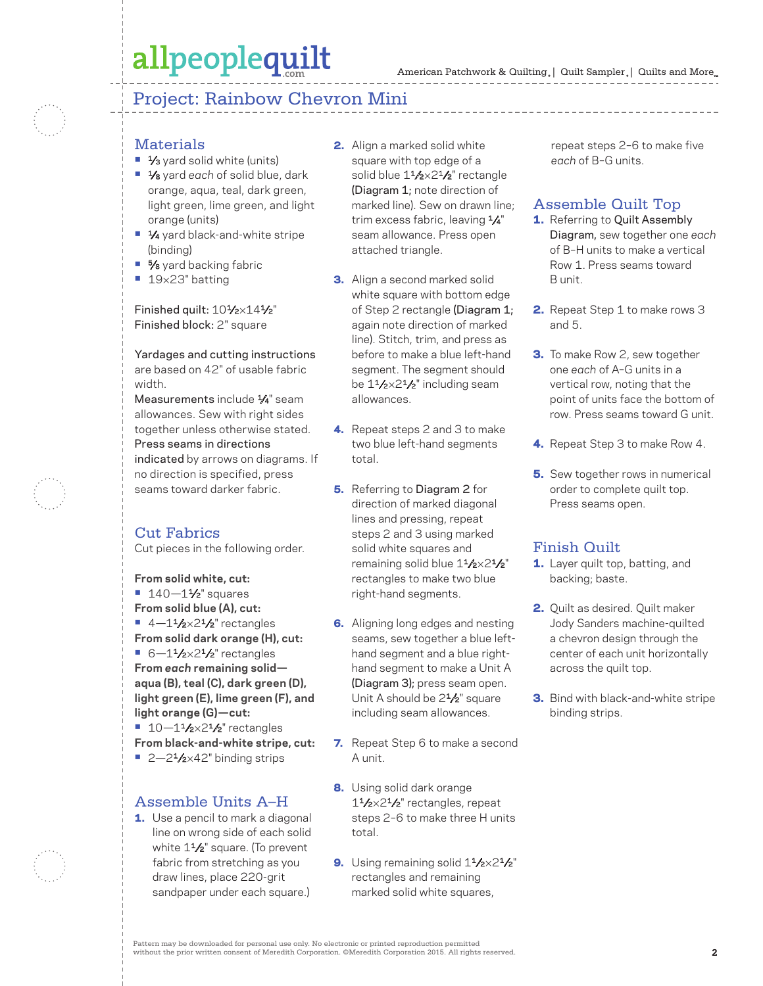### allpeoplequilt

### Project: Rainbow Chevron Mini

#### **Materials**

- <sup>1</sup>⁄3 yard solid white (units)
- **•** 1⁄8 yard *each* of solid blue, dark orange, aqua, teal, dark green, light green, lime green, and light orange (units)
- 1⁄4 yard black-and-white stripe (binding)
- 5⁄8 yard backing fabric
- **•** 19×23" batting

Finished quilt: 101/2×141/2" Finished block: 2" square

Yardages and cutting instructions are based on 42" of usable fabric width.

Measurements include  $\frac{1}{4}$ " seam allowances. Sew with right sides together unless otherwise stated. Press seams in directions indicated by arrows on diagrams. If no direction is specified, press seams toward darker fabric.

#### Cut Fabrics

Cut pieces in the following order.

**From solid white, cut: •** 140—11⁄2" squares **From solid blue (A), cut:**  $\blacksquare$  4-1<sup>1</sup>/<sub>2</sub>×2<sup>1</sup>/<sub>2</sub>" rectangles **From solid dark orange (H), cut: •** 6-1<sup>1</sup>/2×2<sup>1</sup>/2" rectangles **From** *each* **remaining solid aqua (B), teal (C), dark green (D), light green (E), lime green (F), and light orange (G)—cut: •** 10-1<sup>1</sup>/<sub>2</sub>×2<sup>1</sup>/<sub>2</sub>" rectangles **From black-and-white stripe, cut: •** 2-2<sup>1</sup>/<sub>2</sub>×42" binding strips

#### Assemble Units A–H

1. Use a pencil to mark a diagonal line on wrong side of each solid white  $1\frac{1}{2}$ " square. (To prevent fabric from stretching as you draw lines, place 220-grit sandpaper under each square.)

- 2. Align a marked solid white square with top edge of a solid blue 1<sup>1</sup>/2×2<sup>1</sup>/2" rectangle (Diagram 1; note direction of marked line). Sew on drawn line; trim excess fabric, leaving 1/4" seam allowance. Press open attached triangle.
- **3.** Align a second marked solid white square with bottom edge of Step 2 rectangle (Diagram 1; again note direction of marked line). Stitch, trim, and press as before to make a blue left-hand segment. The segment should be  $1\frac{1}{2} \times 2\frac{1}{2}$ " including seam allowances.
- 4. Repeat steps 2 and 3 to make two blue left-hand segments total.
- **5.** Referring to Diagram 2 for direction of marked diagonal lines and pressing, repeat steps 2 and 3 using marked solid white squares and remaining solid blue  $1\frac{1}{2} \times 2\frac{1}{2}$ " rectangles to make two blue right-hand segments.
- **6.** Aligning long edges and nesting seams, sew together a blue lefthand segment and a blue righthand segment to make a Unit A (Diagram 3); press seam open. Unit A should be 2<sup>1</sup>/<sub>2</sub>" square including seam allowances.
- 7. Repeat Step 6 to make a second A unit.
- 8. Using solid dark orange  $1\frac{1}{2} \times 2\frac{1}{2}$ " rectangles, repeat steps 2–6 to make three H units total.
- 9. Using remaining solid  $1\frac{1}{2} \times 2\frac{1}{2}$ " rectangles and remaining marked solid white squares,

repeat steps 2–6 to make five *each* of B–G units.

#### Assemble Quilt Top

- 1. Referring to Quilt Assembly Diagram, sew together one *each*  of B–H units to make a vertical Row 1. Press seams toward B unit.
- 2. Repeat Step 1 to make rows 3 and 5.
- **3.** To make Row 2, sew together one *each* of A–G units in a vertical row, noting that the point of units face the bottom of row. Press seams toward G unit.
- 4. Repeat Step 3 to make Row 4.
- **5.** Sew together rows in numerical order to complete quilt top. Press seams open.

#### Finish Quilt

- 1. Layer quilt top, batting, and backing; baste.
- 2. Quilt as desired. Quilt maker Jody Sanders machine-quilted a chevron design through the center of each unit horizontally across the quilt top.
- **3.** Bind with black-and-white stripe binding strips.